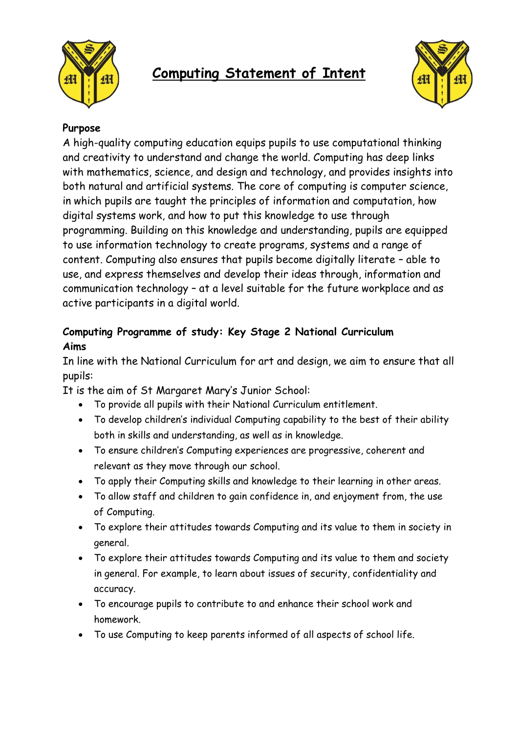

## **Computing Statement of Intent**



## **Purpose**

A high-quality computing education equips pupils to use computational thinking and creativity to understand and change the world. Computing has deep links with mathematics, science, and design and technology, and provides insights into both natural and artificial systems. The core of computing is computer science, in which pupils are taught the principles of information and computation, how digital systems work, and how to put this knowledge to use through programming. Building on this knowledge and understanding, pupils are equipped to use information technology to create programs, systems and a range of content. Computing also ensures that pupils become digitally literate – able to use, and express themselves and develop their ideas through, information and communication technology – at a level suitable for the future workplace and as active participants in a digital world.

## **Computing Programme of study: Key Stage 2 National Curriculum Aims**

In line with the National Curriculum for art and design, we aim to ensure that all pupils:

It is the aim of St Margaret Mary's Junior School:

- To provide all pupils with their National Curriculum entitlement.
- To develop children's individual Computing capability to the best of their ability both in skills and understanding, as well as in knowledge.
- To ensure children's Computing experiences are progressive, coherent and relevant as they move through our school.
- To apply their Computing skills and knowledge to their learning in other areas.
- To allow staff and children to gain confidence in, and enjoyment from, the use of Computing.
- To explore their attitudes towards Computing and its value to them in society in general.
- To explore their attitudes towards Computing and its value to them and society in general. For example, to learn about issues of security, confidentiality and accuracy.
- To encourage pupils to contribute to and enhance their school work and homework.
- To use Computing to keep parents informed of all aspects of school life.